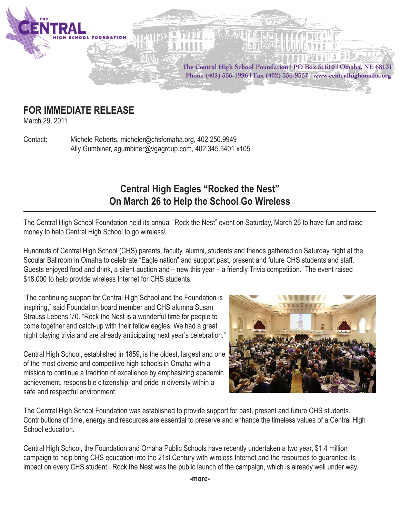

## **FOR IMMEDIATE RELEASE**

March 29, 2011

Contact: Michele Roberts, micheler@chsfomaha.org, 402.250.9949 Ally Gumbiner, agumbiner@vgagroup.com, 402.345.5401 x105

## **Central High Eagles "Rocked the Nest" On March 26 to Help the School Go Wireless**

The Central High School Foundation held its annual "Rock the Nest" event on Saturday, March 26 to have fun and raise money to help Central High School to go wireless!

Hundreds of Central High School (CHS) parents, faculty, alumni, students and friends gathered on Saturday night at the Scoular Ballroom in Omaha to celebrate "Eagle nation" and support past, present and future CHS students and staff. Guests enjoyed food and drink, a silent auction and – new this year – a friendly Trivia competition. The event raised \$18,000 to help provide wireless Internet for CHS students.

"The continuing support for Central High School and the Foundation is inspiring," said Foundation board member and CHS alumna Susan Strauss Lebens '70. "Rock the Nest is a wonderful time for people to come together and catch-up with their fellow eagles. We had a great night playing trivia and are already anticipating next year's celebration."

Central High School, established in 1859, is the oldest, largest and one of the most diverse and competitive high schools in Omaha with a mission to continue a tradition of excellence by emphasizing academic achievement, responsible citizenship, and pride in diversity within a safe and respectful environment.



The Central High School Foundation was established to provide support for past, present and future CHS students. Contributions of time, energy and resources are essential to preserve and enhance the timeless values of a Central High School education.

Central High School, the Foundation and Omaha Public Schools have recently undertaken a two year, \$1.4 million campaign to help bring CHS education into the 21st Century with wireless Internet and the resources to guarantee its impact on every CHS student. Rock the Nest was the public launch of the campaign, which is already well under way.